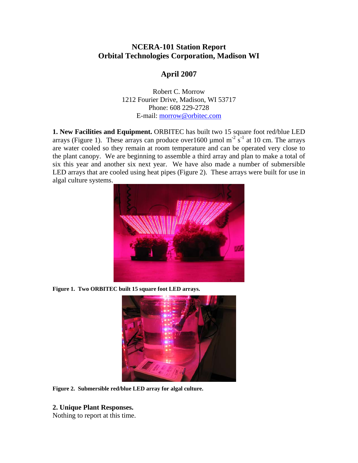# **NCERA-101 Station Report Orbital Technologies Corporation, Madison WI**

# **April 2007**

Robert C. Morrow 1212 Fourier Drive, Madison, WI 53717 Phone: 608 229-2728 E-mail: [morrow@orbitec.com](mailto:morrow@orbitec.com)

**1. New Facilities and Equipment.** ORBITEC has built two 15 square foot red/blue LED arrays ([Figure 1\)](#page-0-0). These arrays can produce over1600 µmol m<sup>-2</sup> s<sup>-1</sup> at 10 cm. The arrays are water cooled so they remain at room temperature and can be operated very close to the plant canopy. We are beginning to assemble a third array and plan to make a total of six this year and another six next year. We have also made a number of submersible LED arrays that are cooled using heat pipes [\(Figure 2\)](#page-0-1). These arrays were built for use in algal culture systems.



**Figure 1. Two ORBITEC built 15 square foot LED arrays.** 

<span id="page-0-0"></span>

**Figure 2. Submersible red/blue LED array for algal culture.** 

#### <span id="page-0-1"></span>**2. Unique Plant Responses.**

Nothing to report at this time.